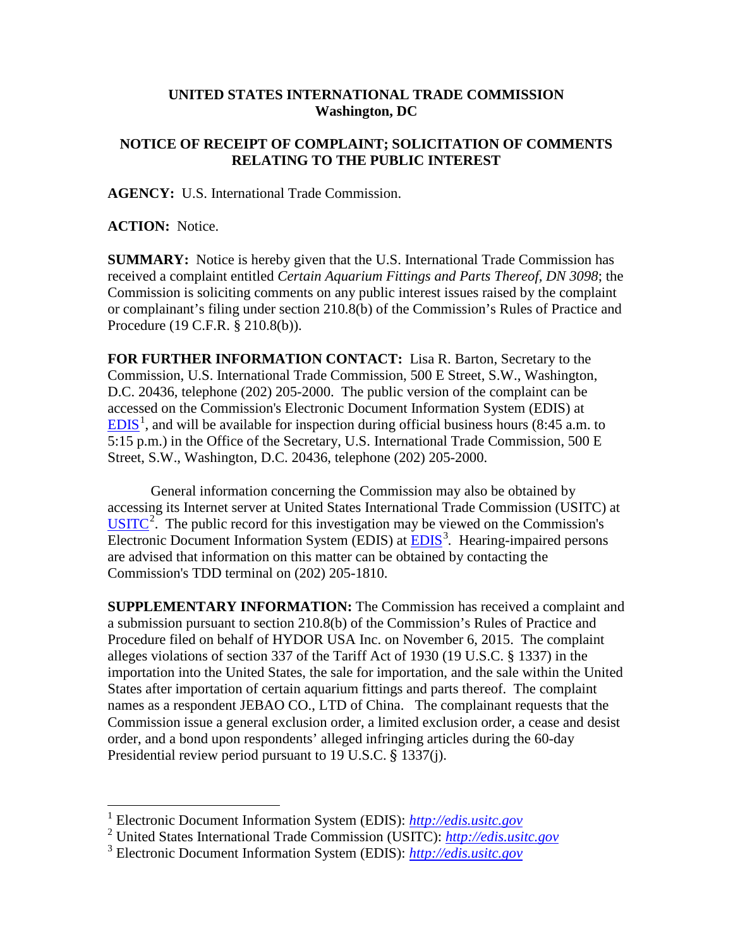## **UNITED STATES INTERNATIONAL TRADE COMMISSION Washington, DC**

## **NOTICE OF RECEIPT OF COMPLAINT; SOLICITATION OF COMMENTS RELATING TO THE PUBLIC INTEREST**

**AGENCY:** U.S. International Trade Commission.

**ACTION:** Notice.

**SUMMARY:** Notice is hereby given that the U.S. International Trade Commission has received a complaint entitled *Certain Aquarium Fittings and Parts Thereof, DN 3098*; the Commission is soliciting comments on any public interest issues raised by the complaint or complainant's filing under section 210.8(b) of the Commission's Rules of Practice and Procedure (19 C.F.R. § 210.8(b)).

**FOR FURTHER INFORMATION CONTACT:** Lisa R. Barton, Secretary to the Commission, U.S. International Trade Commission, 500 E Street, S.W., Washington, D.C. 20436, telephone (202) 205-2000. The public version of the complaint can be accessed on the Commission's Electronic Document Information System (EDIS) at  $EDIS<sup>1</sup>$  $EDIS<sup>1</sup>$  $EDIS<sup>1</sup>$  $EDIS<sup>1</sup>$ , and will be available for inspection during official business hours (8:45 a.m. to 5:15 p.m.) in the Office of the Secretary, U.S. International Trade Commission, 500 E Street, S.W., Washington, D.C. 20436, telephone (202) 205-2000.

General information concerning the Commission may also be obtained by accessing its Internet server at United States International Trade Commission (USITC) at  $\overline{USTTC}^2$  $\overline{USTTC}^2$ . The public record for this investigation may be viewed on the Commission's Electronic Document Information System (EDIS) at **EDIS**<sup>[3](#page-0-2)</sup>. Hearing-impaired persons are advised that information on this matter can be obtained by contacting the Commission's TDD terminal on (202) 205-1810.

**SUPPLEMENTARY INFORMATION:** The Commission has received a complaint and a submission pursuant to section 210.8(b) of the Commission's Rules of Practice and Procedure filed on behalf of HYDOR USA Inc. on November 6, 2015. The complaint alleges violations of section 337 of the Tariff Act of 1930 (19 U.S.C. § 1337) in the importation into the United States, the sale for importation, and the sale within the United States after importation of certain aquarium fittings and parts thereof. The complaint names as a respondent JEBAO CO., LTD of China. The complainant requests that the Commission issue a general exclusion order, a limited exclusion order, a cease and desist order, and a bond upon respondents' alleged infringing articles during the 60-day Presidential review period pursuant to 19 U.S.C. § 1337(j).

 <sup>1</sup> Electronic Document Information System (EDIS): *[http://edis.usitc.gov](http://edis.usitc.gov/)*

<span id="page-0-1"></span><span id="page-0-0"></span><sup>2</sup> United States International Trade Commission (USITC): *[http://edis.usitc.gov](http://edis.usitc.gov/)*

<span id="page-0-2"></span><sup>3</sup> Electronic Document Information System (EDIS): *[http://edis.usitc.gov](http://edis.usitc.gov/)*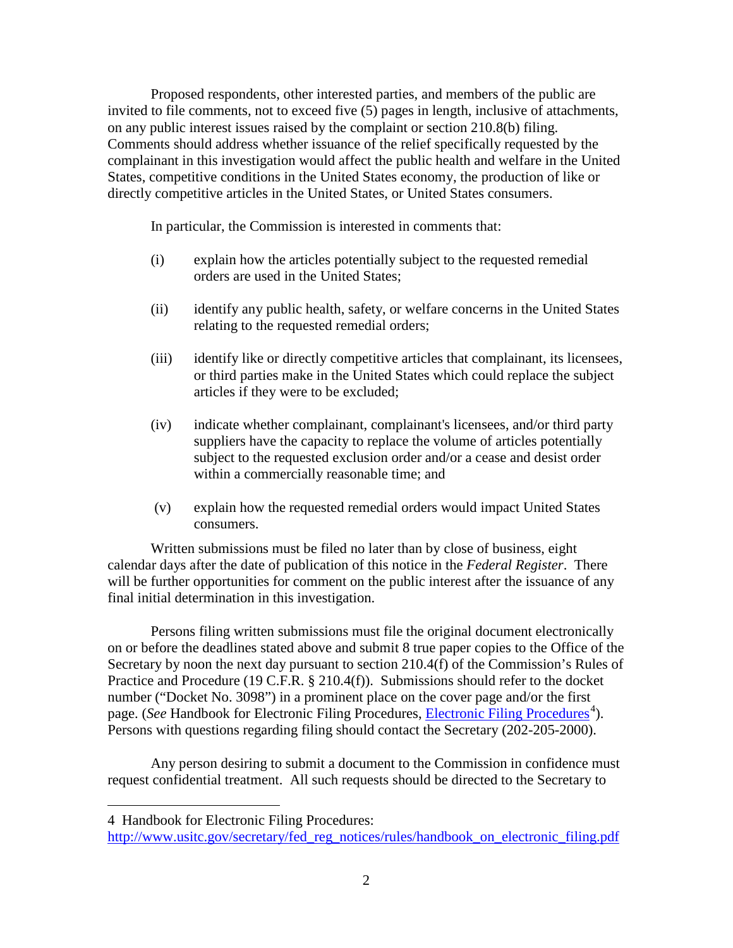Proposed respondents, other interested parties, and members of the public are invited to file comments, not to exceed five (5) pages in length, inclusive of attachments, on any public interest issues raised by the complaint or section 210.8(b) filing. Comments should address whether issuance of the relief specifically requested by the complainant in this investigation would affect the public health and welfare in the United States, competitive conditions in the United States economy, the production of like or directly competitive articles in the United States, or United States consumers.

In particular, the Commission is interested in comments that:

- (i) explain how the articles potentially subject to the requested remedial orders are used in the United States;
- (ii) identify any public health, safety, or welfare concerns in the United States relating to the requested remedial orders;
- (iii) identify like or directly competitive articles that complainant, its licensees, or third parties make in the United States which could replace the subject articles if they were to be excluded;
- (iv) indicate whether complainant, complainant's licensees, and/or third party suppliers have the capacity to replace the volume of articles potentially subject to the requested exclusion order and/or a cease and desist order within a commercially reasonable time; and
- (v) explain how the requested remedial orders would impact United States consumers.

Written submissions must be filed no later than by close of business, eight calendar days after the date of publication of this notice in the *Federal Register*. There will be further opportunities for comment on the public interest after the issuance of any final initial determination in this investigation.

Persons filing written submissions must file the original document electronically on or before the deadlines stated above and submit 8 true paper copies to the Office of the Secretary by noon the next day pursuant to section 210.4(f) of the Commission's Rules of Practice and Procedure (19 C.F.R. § 210.4(f)). Submissions should refer to the docket number ("Docket No. 3098") in a prominent place on the cover page and/or the first page. (*See* Handbook for [Electronic Filing Procedures](http://www.usitc.gov/secretary/fed_reg_notices/rules/handbook_on_electronic_filing.pdf), *Electronic Filing Procedures*<sup>[4](#page-1-0)</sup>). Persons with questions regarding filing should contact the Secretary (202-205-2000).

Any person desiring to submit a document to the Commission in confidence must request confidential treatment. All such requests should be directed to the Secretary to

 $\overline{a}$ 

<span id="page-1-0"></span><sup>4</sup> Handbook for Electronic Filing Procedures:

[http://www.usitc.gov/secretary/fed\\_reg\\_notices/rules/handbook\\_on\\_electronic\\_filing.pdf](http://www.usitc.gov/secretary/fed_reg_notices/rules/handbook_on_electronic_filing.pdf)